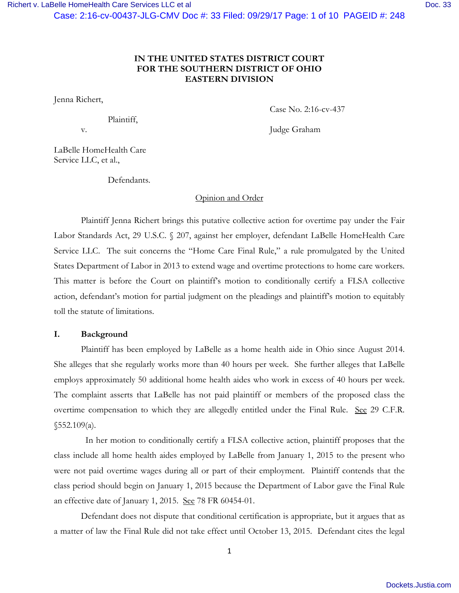## **IN THE UNITED STATES DISTRICT COURT FOR THE SOUTHERN DISTRICT OF OHIO EASTERN DIVISION**

Jenna Richert,

Plaintiff,

v. Judge Graham

Case No. 2:16-cv-437

LaBelle HomeHealth Care Service LLC, et al.,

Defendants.

## Opinion and Order

Plaintiff Jenna Richert brings this putative collective action for overtime pay under the Fair Labor Standards Act, 29 U.S.C. § 207, against her employer, defendant LaBelle HomeHealth Care Service LLC. The suit concerns the "Home Care Final Rule," a rule promulgated by the United States Department of Labor in 2013 to extend wage and overtime protections to home care workers. This matter is before the Court on plaintiff's motion to conditionally certify a FLSA collective action, defendant's motion for partial judgment on the pleadings and plaintiff's motion to equitably toll the statute of limitations.

## **I. Background**

Plaintiff has been employed by LaBelle as a home health aide in Ohio since August 2014. She alleges that she regularly works more than 40 hours per week. She further alleges that LaBelle employs approximately 50 additional home health aides who work in excess of 40 hours per week. The complaint asserts that LaBelle has not paid plaintiff or members of the proposed class the overtime compensation to which they are allegedly entitled under the Final Rule. See 29 C.F.R.  $$552.109(a).$ 

 In her motion to conditionally certify a FLSA collective action, plaintiff proposes that the class include all home health aides employed by LaBelle from January 1, 2015 to the present who were not paid overtime wages during all or part of their employment. Plaintiff contends that the class period should begin on January 1, 2015 because the Department of Labor gave the Final Rule an effective date of January 1, 2015. See 78 FR 60454-01.

Defendant does not dispute that conditional certification is appropriate, but it argues that as a matter of law the Final Rule did not take effect until October 13, 2015. Defendant cites the legal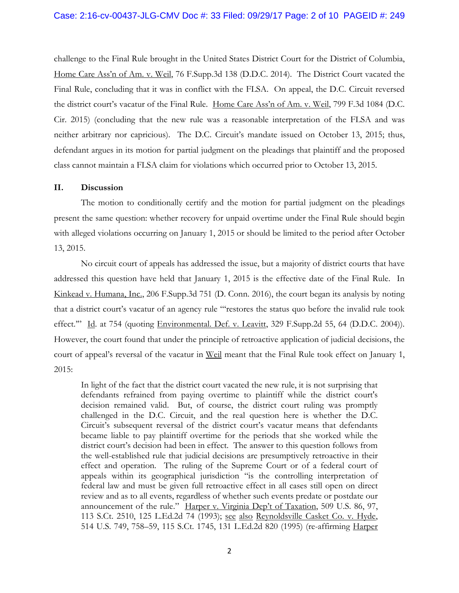#### Case: 2:16-cv-00437-JLG-CMV Doc #: 33 Filed: 09/29/17 Page: 2 of 10 PAGEID #: 249

challenge to the Final Rule brought in the United States District Court for the District of Columbia, Home Care Ass'n of Am. v. Weil, 76 F.Supp.3d 138 (D.D.C. 2014). The District Court vacated the Final Rule, concluding that it was in conflict with the FLSA. On appeal, the D.C. Circuit reversed the district court's vacatur of the Final Rule. Home Care Ass'n of Am. v. Weil, 799 F.3d 1084 (D.C. Cir. 2015) (concluding that the new rule was a reasonable interpretation of the FLSA and was neither arbitrary nor capricious). The D.C. Circuit's mandate issued on October 13, 2015; thus, defendant argues in its motion for partial judgment on the pleadings that plaintiff and the proposed class cannot maintain a FLSA claim for violations which occurred prior to October 13, 2015.

#### **II. Discussion**

The motion to conditionally certify and the motion for partial judgment on the pleadings present the same question: whether recovery for unpaid overtime under the Final Rule should begin with alleged violations occurring on January 1, 2015 or should be limited to the period after October 13, 2015.

No circuit court of appeals has addressed the issue, but a majority of district courts that have addressed this question have held that January 1, 2015 is the effective date of the Final Rule. In Kinkead v. Humana, Inc., 206 F.Supp.3d 751 (D. Conn. 2016), the court began its analysis by noting that a district court's vacatur of an agency rule "'restores the status quo before the invalid rule took effect." Id. at 754 (quoting Environmental. Def. v. Leavitt, 329 F.Supp.2d 55, 64 (D.D.C. 2004)). However, the court found that under the principle of retroactive application of judicial decisions, the court of appeal's reversal of the vacatur in Weil meant that the Final Rule took effect on January 1, 2015:

In light of the fact that the district court vacated the new rule, it is not surprising that defendants refrained from paying overtime to plaintiff while the district court's decision remained valid. But, of course, the district court ruling was promptly challenged in the D.C. Circuit, and the real question here is whether the D.C. Circuit's subsequent reversal of the district court's vacatur means that defendants became liable to pay plaintiff overtime for the periods that she worked while the district court's decision had been in effect. The answer to this question follows from the well-established rule that judicial decisions are presumptively retroactive in their effect and operation. The ruling of the Supreme Court or of a federal court of appeals within its geographical jurisdiction "is the controlling interpretation of federal law and must be given full retroactive effect in all cases still open on direct review and as to all events, regardless of whether such events predate or postdate our announcement of the rule." Harper v. Virginia Dep't of Taxation, 509 U.S. 86, 97, 113 S.Ct. 2510, 125 L.Ed.2d 74 (1993); see also Reynoldsville Casket Co. v. Hyde, 514 U.S. 749, 758–59, 115 S.Ct. 1745, 131 L.Ed.2d 820 (1995) (re-affirming Harper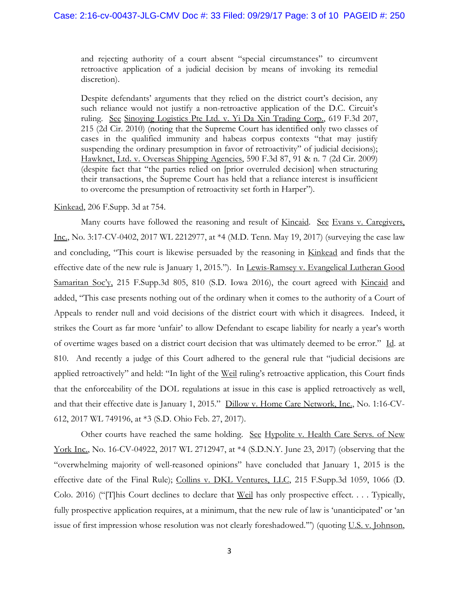and rejecting authority of a court absent "special circumstances" to circumvent retroactive application of a judicial decision by means of invoking its remedial discretion).

Despite defendants' arguments that they relied on the district court's decision, any such reliance would not justify a non-retroactive application of the D.C. Circuit's ruling. See Sinoying Logistics Pte Ltd. v. Yi Da Xin Trading Corp., 619 F.3d 207, 215 (2d Cir. 2010) (noting that the Supreme Court has identified only two classes of cases in the qualified immunity and habeas corpus contexts "that may justify suspending the ordinary presumption in favor of retroactivity" of judicial decisions); Hawknet, Ltd. v. Overseas Shipping Agencies, 590 F.3d 87, 91 & n. 7 (2d Cir. 2009) (despite fact that "the parties relied on [prior overruled decision] when structuring their transactions, the Supreme Court has held that a reliance interest is insufficient to overcome the presumption of retroactivity set forth in Harper").

## Kinkead, 206 F.Supp. 3d at 754.

Many courts have followed the reasoning and result of Kincaid. See Evans v. Caregivers, Inc., No. 3:17-CV-0402, 2017 WL 2212977, at \*4 (M.D. Tenn. May 19, 2017) (surveying the case law and concluding, "This court is likewise persuaded by the reasoning in Kinkead and finds that the effective date of the new rule is January 1, 2015."). In Lewis-Ramsey v. Evangelical Lutheran Good Samaritan Soc'y, 215 F.Supp.3d 805, 810 (S.D. Iowa 2016), the court agreed with Kincaid and added, "This case presents nothing out of the ordinary when it comes to the authority of a Court of Appeals to render null and void decisions of the district court with which it disagrees. Indeed, it strikes the Court as far more 'unfair' to allow Defendant to escape liability for nearly a year's worth of overtime wages based on a district court decision that was ultimately deemed to be error." Id. at 810. And recently a judge of this Court adhered to the general rule that "judicial decisions are applied retroactively" and held: "In light of the <u>Weil</u> ruling's retroactive application, this Court finds that the enforceability of the DOL regulations at issue in this case is applied retroactively as well, and that their effective date is January 1, 2015." Dillow v. Home Care Network, Inc., No. 1:16-CV-612, 2017 WL 749196, at \*3 (S.D. Ohio Feb. 27, 2017).

Other courts have reached the same holding. See Hypolite v. Health Care Servs. of New York Inc., No. 16-CV-04922, 2017 WL 2712947, at \*4 (S.D.N.Y. June 23, 2017) (observing that the "overwhelming majority of well-reasoned opinions" have concluded that January 1, 2015 is the effective date of the Final Rule); Collins v. DKL Ventures, LLC, 215 F.Supp.3d 1059, 1066 (D. Colo. 2016) ("[T]his Court declines to declare that Weil has only prospective effect. . . . Typically, fully prospective application requires, at a minimum, that the new rule of law is 'unanticipated' or 'an issue of first impression whose resolution was not clearly foreshadowed.'") (quoting U.S. v. Johnson,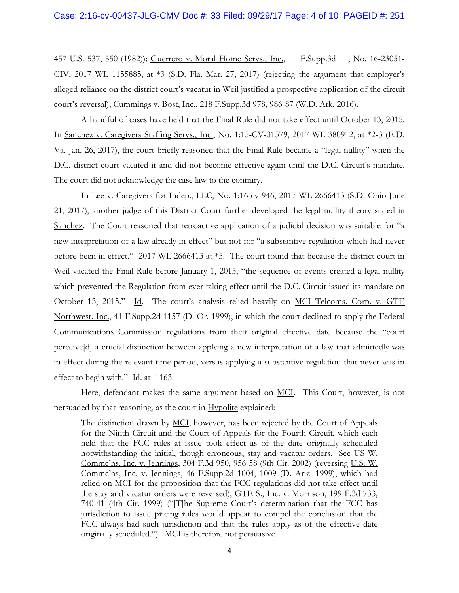457 U.S. 537, 550 (1982)); Guerrero v. Moral Home Servs., Inc., \_\_ F.Supp.3d \_\_, No. 16-23051- CIV, 2017 WL 1155885, at \*3 (S.D. Fla. Mar. 27, 2017) (rejecting the argument that employer's alleged reliance on the district court's vacatur in Weil justified a prospective application of the circuit court's reversal); Cummings v. Bost, Inc., 218 F.Supp.3d 978, 986-87 (W.D. Ark. 2016).

A handful of cases have held that the Final Rule did not take effect until October 13, 2015. In Sanchez v. Caregivers Staffing Servs., Inc., No. 1:15-CV-01579, 2017 WL 380912, at \*2-3 (E.D. Va. Jan. 26, 2017), the court briefly reasoned that the Final Rule became a "legal nullity" when the D.C. district court vacated it and did not become effective again until the D.C. Circuit's mandate. The court did not acknowledge the case law to the contrary.

In Lee v. Caregivers for Indep., LLC, No. 1:16-cv-946, 2017 WL 2666413 (S.D. Ohio June 21, 2017), another judge of this District Court further developed the legal nullity theory stated in Sanchez. The Court reasoned that retroactive application of a judicial decision was suitable for "a new interpretation of a law already in effect" but not for "a substantive regulation which had never before been in effect." 2017 WL 2666413 at \*5. The court found that because the district court in Weil vacated the Final Rule before January 1, 2015, "the sequence of events created a legal nullity which prevented the Regulation from ever taking effect until the D.C. Circuit issued its mandate on October 13, 2015." Id. The court's analysis relied heavily on MCI Telcoms. Corp. v. GTE Northwest. Inc., 41 F.Supp.2d 1157 (D. Or. 1999), in which the court declined to apply the Federal Communications Commission regulations from their original effective date because the "court perceive[d] a crucial distinction between applying a new interpretation of a law that admittedly was in effect during the relevant time period, versus applying a substantive regulation that never was in effect to begin with."  $\underline{Id}$  at 1163.

Here, defendant makes the same argument based on MCI. This Court, however, is not persuaded by that reasoning, as the court in Hypolite explained:

The distinction drawn by <u>MCI</u>, however, has been rejected by the Court of Appeals for the Ninth Circuit and the Court of Appeals for the Fourth Circuit, which each held that the FCC rules at issue took effect as of the date originally scheduled notwithstanding the initial, though erroneous, stay and vacatur orders. See US W. Commc'ns, Inc. v. Jennings, 304 F.3d 950, 956-58 (9th Cir. 2002) (reversing U.S. W. Commc'ns, Inc. v. Jennings, 46 F.Supp.2d 1004, 1009 (D. Ariz. 1999), which had relied on MCI for the proposition that the FCC regulations did not take effect until the stay and vacatur orders were reversed); GTE S., Inc. v. Morrison, 199 F.3d 733, 740-41 (4th Cir. 1999) ("[T]he Supreme Court's determination that the FCC has jurisdiction to issue pricing rules would appear to compel the conclusion that the FCC always had such jurisdiction and that the rules apply as of the effective date originally scheduled."). MCI is therefore not persuasive.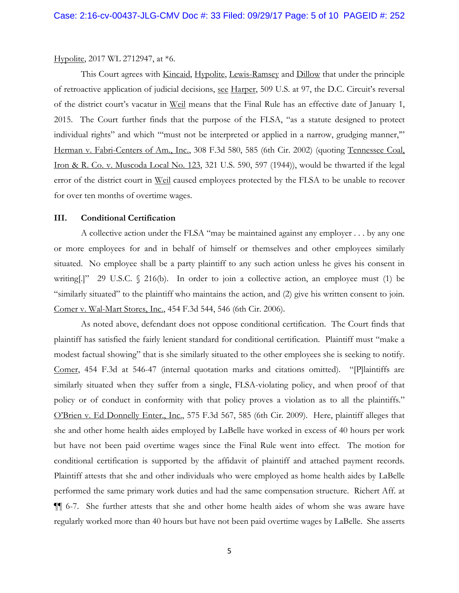#### Hypolite, 2017 WL 2712947, at \*6.

This Court agrees with Kincaid, Hypolite, Lewis-Ramsey and Dillow that under the principle of retroactive application of judicial decisions, see Harper, 509 U.S. at 97, the D.C. Circuit's reversal of the district court's vacatur in Weil means that the Final Rule has an effective date of January 1, 2015. The Court further finds that the purpose of the FLSA, "as a statute designed to protect individual rights" and which "'must not be interpreted or applied in a narrow, grudging manner,'" Herman v. Fabri-Centers of Am., Inc., 308 F.3d 580, 585 (6th Cir. 2002) (quoting Tennessee Coal, Iron & R. Co. v. Muscoda Local No. 123, 321 U.S. 590, 597 (1944)), would be thwarted if the legal error of the district court in Weil caused employees protected by the FLSA to be unable to recover for over ten months of overtime wages.

### **III. Conditional Certification**

A collective action under the FLSA "may be maintained against any employer . . . by any one or more employees for and in behalf of himself or themselves and other employees similarly situated. No employee shall be a party plaintiff to any such action unless he gives his consent in writing[.]" 29 U.S.C.  $\Diamond$  216(b). In order to join a collective action, an employee must (1) be "similarly situated" to the plaintiff who maintains the action, and (2) give his written consent to join. Comer v. Wal-Mart Stores, Inc., 454 F.3d 544, 546 (6th Cir. 2006).

As noted above, defendant does not oppose conditional certification. The Court finds that plaintiff has satisfied the fairly lenient standard for conditional certification. Plaintiff must "make a modest factual showing" that is she similarly situated to the other employees she is seeking to notify. Comer, 454 F.3d at 546-47 (internal quotation marks and citations omitted). "[P]laintiffs are similarly situated when they suffer from a single, FLSA-violating policy, and when proof of that policy or of conduct in conformity with that policy proves a violation as to all the plaintiffs." O'Brien v. Ed Donnelly Enter., Inc., 575 F.3d 567, 585 (6th Cir. 2009). Here, plaintiff alleges that she and other home health aides employed by LaBelle have worked in excess of 40 hours per work but have not been paid overtime wages since the Final Rule went into effect. The motion for conditional certification is supported by the affidavit of plaintiff and attached payment records. Plaintiff attests that she and other individuals who were employed as home health aides by LaBelle performed the same primary work duties and had the same compensation structure. Richert Aff. at ¶¶ 6-7. She further attests that she and other home health aides of whom she was aware have regularly worked more than 40 hours but have not been paid overtime wages by LaBelle. She asserts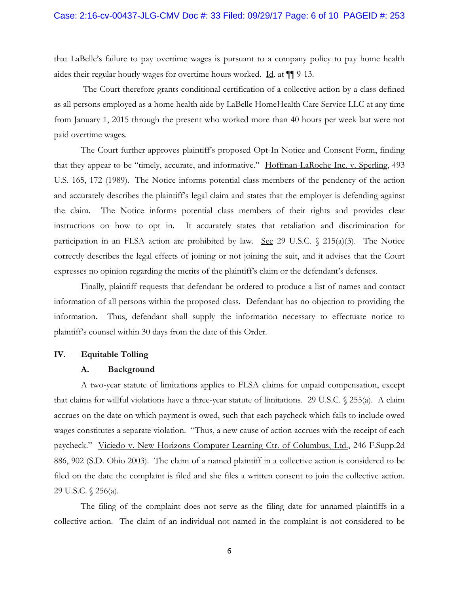that LaBelle's failure to pay overtime wages is pursuant to a company policy to pay home health aides their regular hourly wages for overtime hours worked. Id. at ¶¶ 9-13.

The Court therefore grants conditional certification of a collective action by a class defined as all persons employed as a home health aide by LaBelle HomeHealth Care Service LLC at any time from January 1, 2015 through the present who worked more than 40 hours per week but were not paid overtime wages.

The Court further approves plaintiff's proposed Opt-In Notice and Consent Form, finding that they appear to be "timely, accurate, and informative." Hoffman-LaRoche Inc. v. Sperling, 493 U.S. 165, 172 (1989). The Notice informs potential class members of the pendency of the action and accurately describes the plaintiff's legal claim and states that the employer is defending against the claim. The Notice informs potential class members of their rights and provides clear instructions on how to opt in. It accurately states that retaliation and discrimination for participation in an FLSA action are prohibited by law. See 29 U.S.C.  $\frac{215(a)(3)}{3}$ . The Notice correctly describes the legal effects of joining or not joining the suit, and it advises that the Court expresses no opinion regarding the merits of the plaintiff's claim or the defendant's defenses.

Finally, plaintiff requests that defendant be ordered to produce a list of names and contact information of all persons within the proposed class. Defendant has no objection to providing the information. Thus, defendant shall supply the information necessary to effectuate notice to plaintiff's counsel within 30 days from the date of this Order.

#### **IV. Equitable Tolling**

#### **A. Background**

A two-year statute of limitations applies to FLSA claims for unpaid compensation, except that claims for willful violations have a three-year statute of limitations. 29 U.S.C. § 255(a). A claim accrues on the date on which payment is owed, such that each paycheck which fails to include owed wages constitutes a separate violation. "Thus, a new cause of action accrues with the receipt of each paycheck." Viciedo v. New Horizons Computer Learning Ctr. of Columbus, Ltd., 246 F.Supp.2d 886, 902 (S.D. Ohio 2003). The claim of a named plaintiff in a collective action is considered to be filed on the date the complaint is filed and she files a written consent to join the collective action. 29 U.S.C. § 256(a).

The filing of the complaint does not serve as the filing date for unnamed plaintiffs in a collective action. The claim of an individual not named in the complaint is not considered to be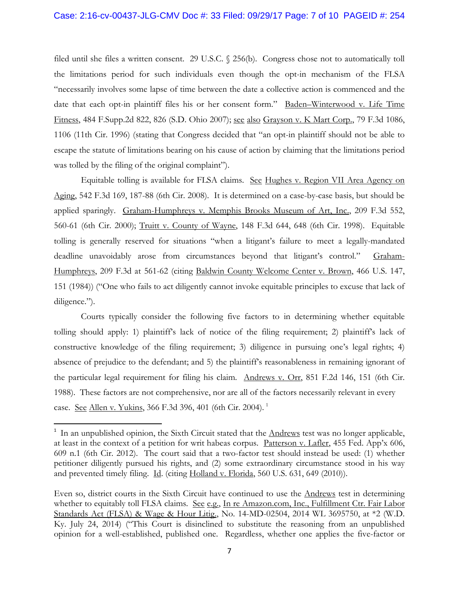filed until she files a written consent. 29 U.S.C. § 256(b). Congress chose not to automatically toll the limitations period for such individuals even though the opt-in mechanism of the FLSA "necessarily involves some lapse of time between the date a collective action is commenced and the date that each opt-in plaintiff files his or her consent form." Baden–Winterwood v. Life Time Fitness, 484 F.Supp.2d 822, 826 (S.D. Ohio 2007); see also Grayson v. K Mart Corp., 79 F.3d 1086, 1106 (11th Cir. 1996) (stating that Congress decided that "an opt-in plaintiff should not be able to escape the statute of limitations bearing on his cause of action by claiming that the limitations period was tolled by the filing of the original complaint").

Equitable tolling is available for FLSA claims. See Hughes v. Region VII Area Agency on Aging, 542 F.3d 169, 187-88 (6th Cir. 2008). It is determined on a case-by-case basis, but should be applied sparingly. Graham-Humphreys v. Memphis Brooks Museum of Art, Inc., 209 F.3d 552, 560-61 (6th Cir. 2000); Truitt v. County of Wayne, 148 F.3d 644, 648 (6th Cir. 1998). Equitable tolling is generally reserved for situations "when a litigant's failure to meet a legally-mandated deadline unavoidably arose from circumstances beyond that litigant's control." Graham-Humphreys, 209 F.3d at 561-62 (citing Baldwin County Welcome Center v. Brown, 466 U.S. 147, 151 (1984)) ("One who fails to act diligently cannot invoke equitable principles to excuse that lack of diligence.").

Courts typically consider the following five factors to in determining whether equitable tolling should apply: 1) plaintiff's lack of notice of the filing requirement; 2) plaintiff's lack of constructive knowledge of the filing requirement; 3) diligence in pursuing one's legal rights; 4) absence of prejudice to the defendant; and 5) the plaintiff's reasonableness in remaining ignorant of the particular legal requirement for filing his claim. Andrews v. Orr, 851 F.2d 146, 151 (6th Cir. 1988). These factors are not comprehensive, nor are all of the factors necessarily relevant in every case. See Allen v. Yukins, 366 F.3d 396, 401 (6th Cir. 2004). [1](#page-6-0)

<span id="page-6-0"></span><sup>&</sup>lt;sup>1</sup> In an unpublished opinion, the Sixth Circuit stated that the **Andrews** test was no longer applicable, at least in the context of a petition for writ habeas corpus. Patterson v. Lafler, 455 Fed. App'x 606, 609 n.1 (6th Cir. 2012). The court said that a two-factor test should instead be used: (1) whether petitioner diligently pursued his rights, and (2) some extraordinary circumstance stood in his way and prevented timely filing. Id. (citing Holland v. Florida, 560 U.S. 631, 649 (2010)).

Even so, district courts in the Sixth Circuit have continued to use the Andrews test in determining whether to equitably toll FLSA claims. See e.g., In re Amazon.com, Inc., Fulfillment Ctr. Fair Labor Standards Act (FLSA) & Wage & Hour Litig., No. 14-MD-02504, 2014 WL 3695750, at \*2 (W.D. Ky. July 24, 2014) ("This Court is disinclined to substitute the reasoning from an unpublished opinion for a well-established, published one. Regardless, whether one applies the five-factor or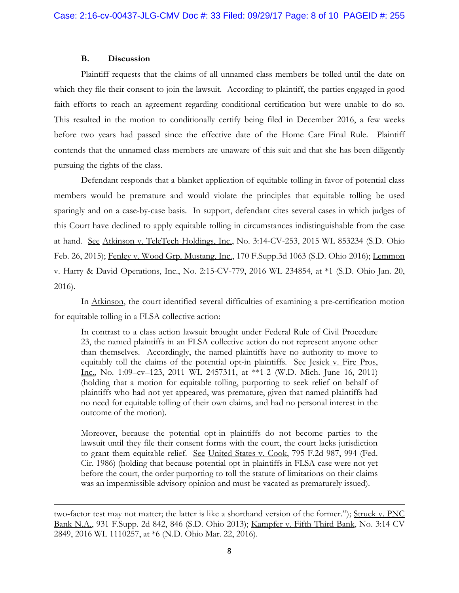## **B. Discussion**

 $\overline{\phantom{a}}$ 

Plaintiff requests that the claims of all unnamed class members be tolled until the date on which they file their consent to join the lawsuit. According to plaintiff, the parties engaged in good faith efforts to reach an agreement regarding conditional certification but were unable to do so. This resulted in the motion to conditionally certify being filed in December 2016, a few weeks before two years had passed since the effective date of the Home Care Final Rule. Plaintiff contends that the unnamed class members are unaware of this suit and that she has been diligently pursuing the rights of the class.

Defendant responds that a blanket application of equitable tolling in favor of potential class members would be premature and would violate the principles that equitable tolling be used sparingly and on a case-by-case basis. In support, defendant cites several cases in which judges of this Court have declined to apply equitable tolling in circumstances indistinguishable from the case at hand. See Atkinson v. TeleTech Holdings, Inc., No. 3:14-CV-253, 2015 WL 853234 (S.D. Ohio Feb. 26, 2015); Fenley v. Wood Grp. Mustang, Inc., 170 F.Supp.3d 1063 (S.D. Ohio 2016); Lemmon v. Harry & David Operations, Inc., No. 2:15-CV-779, 2016 WL 234854, at \*1 (S.D. Ohio Jan. 20, 2016).

In Atkinson, the court identified several difficulties of examining a pre-certification motion for equitable tolling in a FLSA collective action:

In contrast to a class action lawsuit brought under Federal Rule of Civil Procedure 23, the named plaintiffs in an FLSA collective action do not represent anyone other than themselves. Accordingly, the named plaintiffs have no authority to move to equitably toll the claims of the potential opt-in plaintiffs. See Jesiek v. Fire Pros, Inc., No. 1:09–cv–123, 2011 WL 2457311, at \*\*1-2 (W.D. Mich. June 16, 2011) (holding that a motion for equitable tolling, purporting to seek relief on behalf of plaintiffs who had not yet appeared, was premature, given that named plaintiffs had no need for equitable tolling of their own claims, and had no personal interest in the outcome of the motion).

Moreover, because the potential opt-in plaintiffs do not become parties to the lawsuit until they file their consent forms with the court, the court lacks jurisdiction to grant them equitable relief. See United States v. Cook, 795 F.2d 987, 994 (Fed. Cir. 1986) (holding that because potential opt-in plaintiffs in FLSA case were not yet before the court, the order purporting to toll the statute of limitations on their claims was an impermissible advisory opinion and must be vacated as prematurely issued).

two-factor test may not matter; the latter is like a shorthand version of the former."); Struck v. PNC Bank N.A., 931 F.Supp. 2d 842, 846 (S.D. Ohio 2013); Kampfer v. Fifth Third Bank, No. 3:14 CV 2849, 2016 WL 1110257, at \*6 (N.D. Ohio Mar. 22, 2016).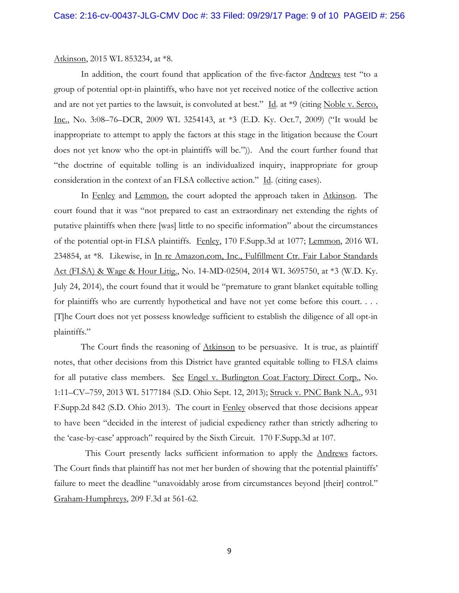#### Atkinson, 2015 WL 853234, at \*8.

In addition, the court found that application of the five-factor Andrews test "to a group of potential opt-in plaintiffs, who have not yet received notice of the collective action and are not yet parties to the lawsuit, is convoluted at best." Id. at \*9 (citing Noble v. Serco, Inc., No. 3:08–76–DCR, 2009 WL 3254143, at \*3 (E.D. Ky. Oct.7, 2009) ("It would be inappropriate to attempt to apply the factors at this stage in the litigation because the Court does not yet know who the opt-in plaintiffs will be.")). And the court further found that "the doctrine of equitable tolling is an individualized inquiry, inappropriate for group consideration in the context of an FLSA collective action." Id. (citing cases).

In Fenley and Lemmon, the court adopted the approach taken in Atkinson. The court found that it was "not prepared to cast an extraordinary net extending the rights of putative plaintiffs when there [was] little to no specific information" about the circumstances of the potential opt-in FLSA plaintiffs. Fenley, 170 F.Supp.3d at 1077; Lemmon, 2016 WL 234854, at \*8. Likewise, in In re Amazon.com, Inc., Fulfillment Ctr. Fair Labor Standards Act (FLSA) & Wage & Hour Litig., No. 14-MD-02504, 2014 WL 3695750, at \*3 (W.D. Ky. July 24, 2014), the court found that it would be "premature to grant blanket equitable tolling for plaintiffs who are currently hypothetical and have not yet come before this court. . . . [T]he Court does not yet possess knowledge sufficient to establish the diligence of all opt-in plaintiffs."

The Court finds the reasoning of Atkinson to be persuasive. It is true, as plaintiff notes, that other decisions from this District have granted equitable tolling to FLSA claims for all putative class members. See Engel v. Burlington Coat Factory Direct Corp., No. 1:11–CV–759, 2013 WL 5177184 (S.D. Ohio Sept. 12, 2013); Struck v. PNC Bank N.A., 931 F.Supp.2d 842 (S.D. Ohio 2013). The court in Fenley observed that those decisions appear to have been "decided in the interest of judicial expediency rather than strictly adhering to the 'case-by-case' approach" required by the Sixth Circuit. 170 F.Supp.3d at 107.

This Court presently lacks sufficient information to apply the Andrews factors. The Court finds that plaintiff has not met her burden of showing that the potential plaintiffs' failure to meet the deadline "unavoidably arose from circumstances beyond [their] control." Graham-Humphreys, 209 F.3d at 561-62.